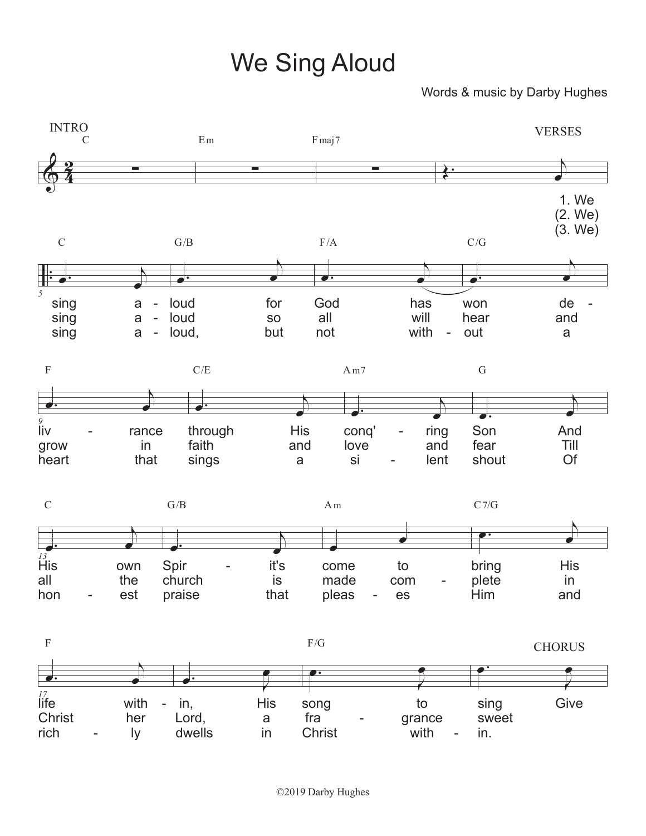## We Sing Aloud

## Words & music by Darby Hughes